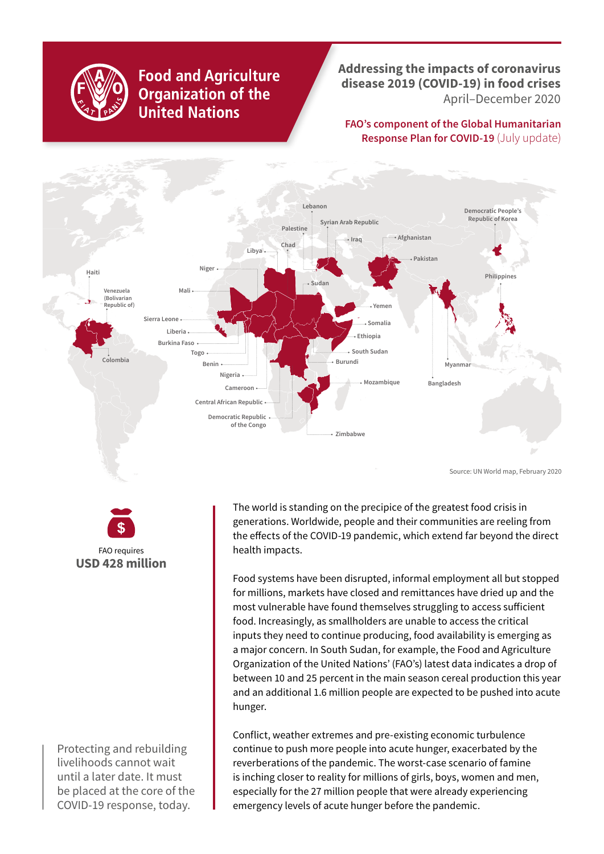

**Food and Agriculture Organization of the United Nations** 

## **Addressing the impacts of coronavirus disease 2019 (COVID-19) in food crises**  April–December 2020

### **FAO's component of the Global Humanitarian Response Plan for COVID-19** (July update)



Source: UN World map, February 2020

FAO requires **USD 428 million**

Protecting and rebuilding livelihoods cannot wait until a later date. It must be placed at the core of the COVID-19 response, today.

The world is standing on the precipice of the greatest food crisis in generations. Worldwide, people and their communities are reeling from the effects of the COVID-19 pandemic, which extend far beyond the direct health impacts.

Food systems have been disrupted, informal employment all but stopped for millions, markets have closed and remittances have dried up and the most vulnerable have found themselves struggling to access sufficient food. Increasingly, as smallholders are unable to access the critical inputs they need to continue producing, food availability is emerging as a major concern. In South Sudan, for example, the Food and Agriculture Organization of the United Nations' (FAO's) latest data indicates a drop of between 10 and 25 percent in the main season cereal production this year and an additional 1.6 million people are expected to be pushed into acute hunger.

Conflict, weather extremes and pre-existing economic turbulence continue to push more people into acute hunger, exacerbated by the reverberations of the pandemic. The worst-case scenario of famine is inching closer to reality for millions of girls, boys, women and men, especially for the 27 million people that were already experiencing emergency levels of acute hunger before the pandemic.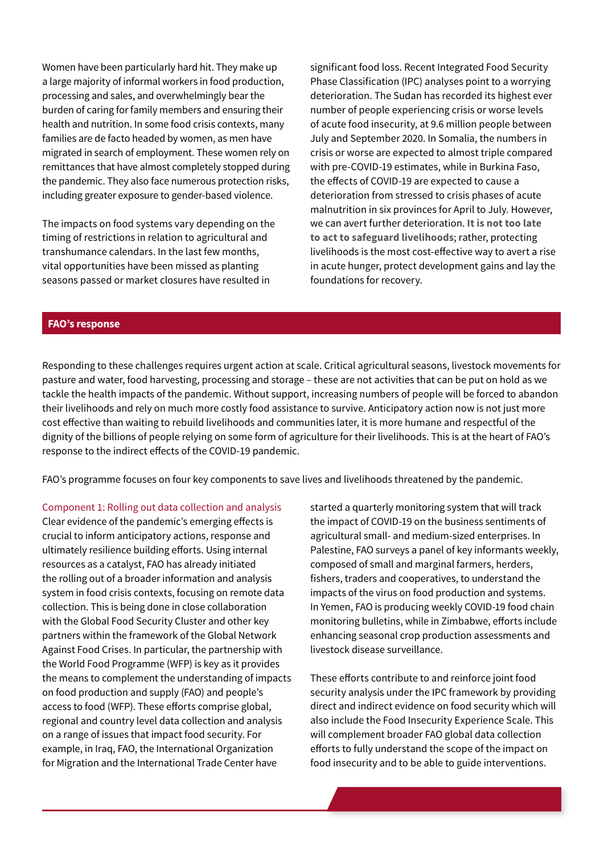Women have been particularly hard hit. They make up a large majority of informal workers in food production, processing and sales, and overwhelmingly bear the burden of caring for family members and ensuring their health and nutrition. In some food crisis contexts, many families are de facto headed by women, as men have migrated in search of employment. These women rely on remittances that have almost completely stopped during the pandemic. They also face numerous protection risks, including greater exposure to gender-based violence.

The impacts on food systems vary depending on the timing of restrictions in relation to agricultural and transhumance calendars. In the last few months, vital opportunities have been missed as planting seasons passed or market closures have resulted in

significant food loss. Recent Integrated Food Security Phase Classification (IPC) analyses point to a worrying deterioration. The Sudan has recorded its highest ever number of people experiencing crisis or worse levels of acute food insecurity, at 9.6 million people between July and September 2020. In Somalia, the numbers in crisis or worse are expected to almost triple compared with pre-COVID-19 estimates, while in Burkina Faso, the effects of COVID-19 are expected to cause a deterioration from stressed to crisis phases of acute malnutrition in six provinces for April to July. However, we can avert further deterioration. **It is not too late to act to safeguard livelihoods**; rather, protecting livelihoods is the most cost-effective way to avert a rise in acute hunger, protect development gains and lay the foundations for recovery.

#### **FAO's response**

Responding to these challenges requires urgent action at scale. Critical agricultural seasons, livestock movements for pasture and water, food harvesting, processing and storage – these are not activities that can be put on hold as we tackle the health impacts of the pandemic. Without support, increasing numbers of people will be forced to abandon their livelihoods and rely on much more costly food assistance to survive. Anticipatory action now is not just more cost effective than waiting to rebuild livelihoods and communities later, it is more humane and respectful of the dignity of the billions of people relying on some form of agriculture for their livelihoods. This is at the heart of FAO's response to the indirect effects of the COVID-19 pandemic.

FAO's programme focuses on four key components to save lives and livelihoods threatened by the pandemic.

Component 1: Rolling out data collection and analysis Clear evidence of the pandemic's emerging effects is

crucial to inform anticipatory actions, response and ultimately resilience building efforts. Using internal resources as a catalyst, FAO has already initiated the rolling out of a broader information and analysis system in food crisis contexts, focusing on remote data collection. This is being done in close collaboration with the Global Food Security Cluster and other key partners within the framework of the Global Network Against Food Crises. In particular, the partnership with the World Food Programme (WFP) is key as it provides the means to complement the understanding of impacts on food production and supply (FAO) and people's access to food (WFP). These efforts comprise global, regional and country level data collection and analysis on a range of issues that impact food security. For example, in Iraq, FAO, the International Organization for Migration and the International Trade Center have

started a quarterly monitoring system that will track the impact of COVID-19 on the business sentiments of agricultural small- and medium-sized enterprises. In Palestine, FAO surveys a panel of key informants weekly, composed of small and marginal farmers, herders, fishers, traders and cooperatives, to understand the impacts of the virus on food production and systems. In Yemen, FAO is producing weekly COVID-19 food chain monitoring bulletins, while in Zimbabwe, efforts include enhancing seasonal crop production assessments and livestock disease surveillance.

These efforts contribute to and reinforce joint food security analysis under the IPC framework by providing direct and indirect evidence on food security which will also include the Food Insecurity Experience Scale. This will complement broader FAO global data collection efforts to fully understand the scope of the impact on food insecurity and to be able to guide interventions.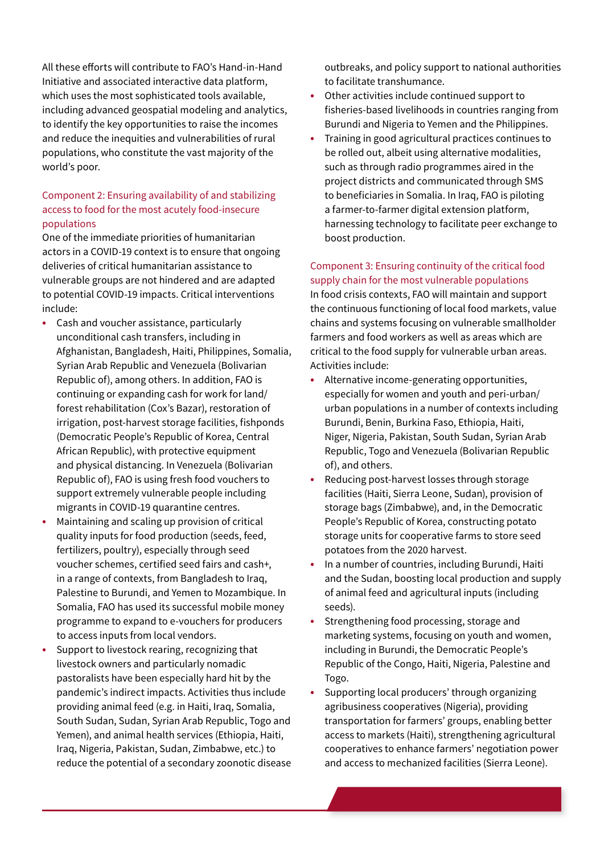All these efforts will contribute to FAO's Hand-in-Hand Initiative and associated interactive data platform, which uses the most sophisticated tools available, including advanced geospatial modeling and analytics, to identify the key opportunities to raise the incomes and reduce the inequities and vulnerabilities of rural populations, who constitute the vast majority of the world's poor.

#### Component 2: Ensuring availability of and stabilizing access to food for the most acutely food-insecure populations

One of the immediate priorities of humanitarian actors in a COVID-19 context is to ensure that ongoing deliveries of critical humanitarian assistance to vulnerable groups are not hindered and are adapted to potential COVID-19 impacts. Critical interventions include:

- **•** Cash and voucher assistance, particularly unconditional cash transfers, including in Afghanistan, Bangladesh, Haiti, Philippines, Somalia, Syrian Arab Republic and Venezuela (Bolivarian Republic of), among others. In addition, FAO is continuing or expanding cash for work for land/ forest rehabilitation (Cox's Bazar), restoration of irrigation, post-harvest storage facilities, fishponds (Democratic People's Republic of Korea, Central African Republic), with protective equipment and physical distancing. In Venezuela (Bolivarian Republic of), FAO is using fresh food vouchers to support extremely vulnerable people including migrants in COVID-19 quarantine centres.
- **•** Maintaining and scaling up provision of critical quality inputs for food production (seeds, feed, fertilizers, poultry), especially through seed voucher schemes, certified seed fairs and cash+, in a range of contexts, from Bangladesh to Iraq, Palestine to Burundi, and Yemen to Mozambique. In Somalia, FAO has used its successful mobile money programme to expand to e-vouchers for producers to access inputs from local vendors.
- **•** Support to livestock rearing, recognizing that livestock owners and particularly nomadic pastoralists have been especially hard hit by the pandemic's indirect impacts. Activities thus include providing animal feed (e.g. in Haiti, Iraq, Somalia, South Sudan, Sudan, Syrian Arab Republic, Togo and Yemen), and animal health services (Ethiopia, Haiti, Iraq, Nigeria, Pakistan, Sudan, Zimbabwe, etc.) to reduce the potential of a secondary zoonotic disease

outbreaks, and policy support to national authorities to facilitate transhumance.

- **•** Other activities include continued support to fisheries-based livelihoods in countries ranging from Burundi and Nigeria to Yemen and the Philippines.
- **•** Training in good agricultural practices continues to be rolled out, albeit using alternative modalities, such as through radio programmes aired in the project districts and communicated through SMS to beneficiaries in Somalia. In Iraq, FAO is piloting a farmer-to-farmer digital extension platform, harnessing technology to facilitate peer exchange to boost production.

#### Component 3: Ensuring continuity of the critical food supply chain for the most vulnerable populations In food crisis contexts, FAO will maintain and support the continuous functioning of local food markets, value chains and systems focusing on vulnerable smallholder farmers and food workers as well as areas which are critical to the food supply for vulnerable urban areas. Activities include:

- **•** Alternative income-generating opportunities, especially for women and youth and peri-urban/ urban populations in a number of contexts including Burundi, Benin, Burkina Faso, Ethiopia, Haiti, Niger, Nigeria, Pakistan, South Sudan, Syrian Arab Republic, Togo and Venezuela (Bolivarian Republic of), and others.
- **•** Reducing post-harvest losses through storage facilities (Haiti, Sierra Leone, Sudan), provision of storage bags (Zimbabwe), and, in the Democratic People's Republic of Korea, constructing potato storage units for cooperative farms to store seed potatoes from the 2020 harvest.
- **•** In a number of countries, including Burundi, Haiti and the Sudan, boosting local production and supply of animal feed and agricultural inputs (including seeds).
- **•** Strengthening food processing, storage and marketing systems, focusing on youth and women, including in Burundi, the Democratic People's Republic of the Congo, Haiti, Nigeria, Palestine and Togo.
- **•** Supporting local producers' through organizing agribusiness cooperatives (Nigeria), providing transportation for farmers' groups, enabling better access to markets (Haiti), strengthening agricultural cooperatives to enhance farmers' negotiation power and access to mechanized facilities (Sierra Leone).